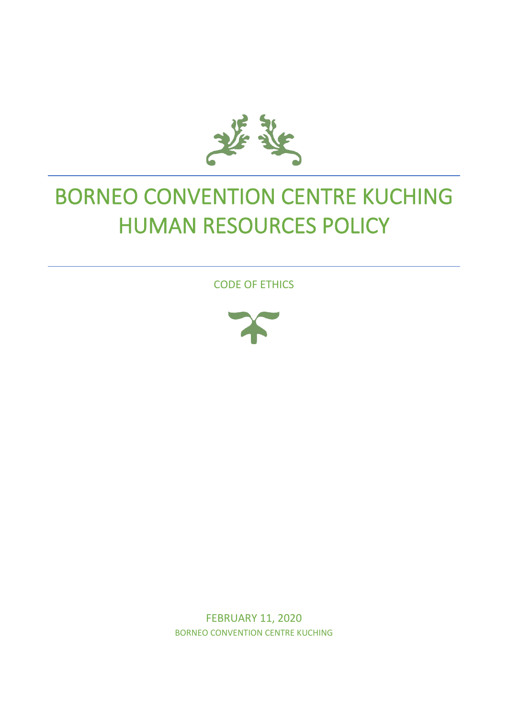

# BORNEO CONVENTION CENTRE KUCHING HUMAN RESOURCES POLICY

CODE OF ETHICS



FEBRUARY 11, 2020 BORNEO CONVENTION CENTRE KUCHING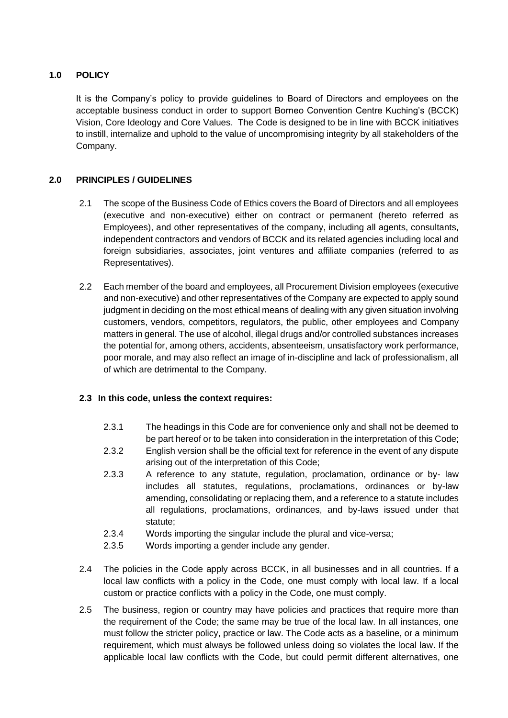# **1.0 POLICY**

It is the Company's policy to provide guidelines to Board of Directors and employees on the acceptable business conduct in order to support Borneo Convention Centre Kuching's (BCCK) Vision, Core Ideology and Core Values. The Code is designed to be in line with BCCK initiatives to instill, internalize and uphold to the value of uncompromising integrity by all stakeholders of the Company.

# **2.0 PRINCIPLES / GUIDELINES**

- 2.1 The scope of the Business Code of Ethics covers the Board of Directors and all employees (executive and non-executive) either on contract or permanent (hereto referred as Employees), and other representatives of the company, including all agents, consultants, independent contractors and vendors of BCCK and its related agencies including local and foreign subsidiaries, associates, joint ventures and affiliate companies (referred to as Representatives).
- 2.2 Each member of the board and employees, all Procurement Division employees (executive and non-executive) and other representatives of the Company are expected to apply sound judgment in deciding on the most ethical means of dealing with any given situation involving customers, vendors, competitors, regulators, the public, other employees and Company matters in general. The use of alcohol, illegal drugs and/or controlled substances increases the potential for, among others, accidents, absenteeism, unsatisfactory work performance, poor morale, and may also reflect an image of in-discipline and lack of professionalism, all of which are detrimental to the Company.

# **2.3 In this code, unless the context requires:**

- 2.3.1 The headings in this Code are for convenience only and shall not be deemed to be part hereof or to be taken into consideration in the interpretation of this Code;
- 2.3.2 English version shall be the official text for reference in the event of any dispute arising out of the interpretation of this Code;
- 2.3.3 A reference to any statute, regulation, proclamation, ordinance or by- law includes all statutes, regulations, proclamations, ordinances or by-law amending, consolidating or replacing them, and a reference to a statute includes all regulations, proclamations, ordinances, and by-laws issued under that statute;
- 2.3.4 Words importing the singular include the plural and vice-versa;
- 2.3.5 Words importing a gender include any gender.
- 2.4 The policies in the Code apply across BCCK, in all businesses and in all countries. If a local law conflicts with a policy in the Code, one must comply with local law. If a local custom or practice conflicts with a policy in the Code, one must comply.
- 2.5 The business, region or country may have policies and practices that require more than the requirement of the Code; the same may be true of the local law. In all instances, one must follow the stricter policy, practice or law. The Code acts as a baseline, or a minimum requirement, which must always be followed unless doing so violates the local law. If the applicable local law conflicts with the Code, but could permit different alternatives, one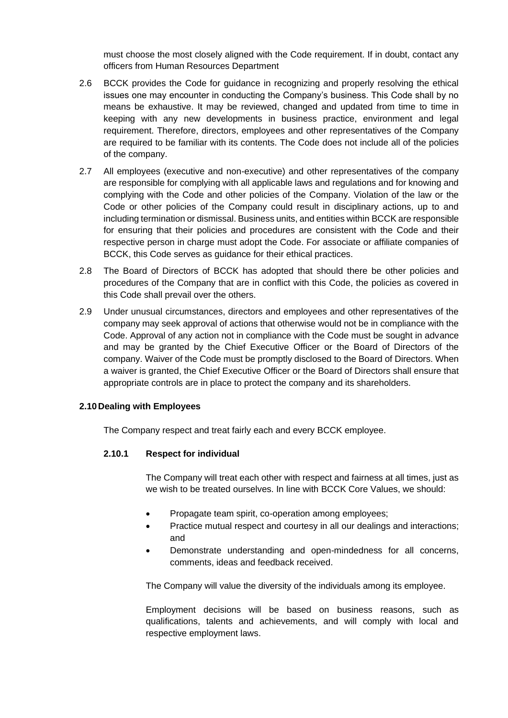must choose the most closely aligned with the Code requirement. If in doubt, contact any officers from Human Resources Department

- 2.6 BCCK provides the Code for guidance in recognizing and properly resolving the ethical issues one may encounter in conducting the Company's business. This Code shall by no means be exhaustive. It may be reviewed, changed and updated from time to time in keeping with any new developments in business practice, environment and legal requirement. Therefore, directors, employees and other representatives of the Company are required to be familiar with its contents. The Code does not include all of the policies of the company.
- 2.7 All employees (executive and non-executive) and other representatives of the company are responsible for complying with all applicable laws and regulations and for knowing and complying with the Code and other policies of the Company. Violation of the law or the Code or other policies of the Company could result in disciplinary actions, up to and including termination or dismissal. Business units, and entities within BCCK are responsible for ensuring that their policies and procedures are consistent with the Code and their respective person in charge must adopt the Code. For associate or affiliate companies of BCCK, this Code serves as guidance for their ethical practices.
- 2.8 The Board of Directors of BCCK has adopted that should there be other policies and procedures of the Company that are in conflict with this Code, the policies as covered in this Code shall prevail over the others.
- 2.9 Under unusual circumstances, directors and employees and other representatives of the company may seek approval of actions that otherwise would not be in compliance with the Code. Approval of any action not in compliance with the Code must be sought in advance and may be granted by the Chief Executive Officer or the Board of Directors of the company. Waiver of the Code must be promptly disclosed to the Board of Directors. When a waiver is granted, the Chief Executive Officer or the Board of Directors shall ensure that appropriate controls are in place to protect the company and its shareholders.

# **2.10Dealing with Employees**

The Company respect and treat fairly each and every BCCK employee.

# **2.10.1 Respect for individual**

The Company will treat each other with respect and fairness at all times, just as we wish to be treated ourselves. In line with BCCK Core Values, we should:

- Propagate team spirit, co-operation among employees;
- Practice mutual respect and courtesy in all our dealings and interactions; and
- Demonstrate understanding and open-mindedness for all concerns, comments, ideas and feedback received.

The Company will value the diversity of the individuals among its employee.

Employment decisions will be based on business reasons, such as qualifications, talents and achievements, and will comply with local and respective employment laws.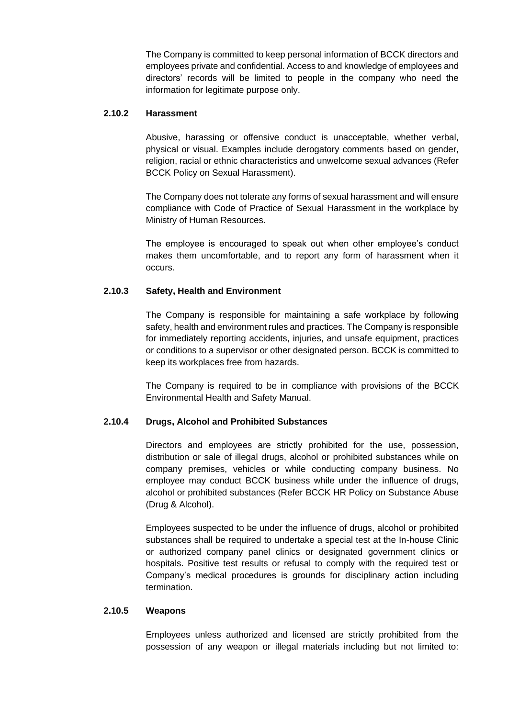The Company is committed to keep personal information of BCCK directors and employees private and confidential. Access to and knowledge of employees and directors' records will be limited to people in the company who need the information for legitimate purpose only.

#### **2.10.2 Harassment**

Abusive, harassing or offensive conduct is unacceptable, whether verbal, physical or visual. Examples include derogatory comments based on gender, religion, racial or ethnic characteristics and unwelcome sexual advances (Refer BCCK Policy on Sexual Harassment).

The Company does not tolerate any forms of sexual harassment and will ensure compliance with Code of Practice of Sexual Harassment in the workplace by Ministry of Human Resources.

The employee is encouraged to speak out when other employee's conduct makes them uncomfortable, and to report any form of harassment when it occurs.

# **2.10.3 Safety, Health and Environment**

The Company is responsible for maintaining a safe workplace by following safety, health and environment rules and practices. The Company is responsible for immediately reporting accidents, injuries, and unsafe equipment, practices or conditions to a supervisor or other designated person. BCCK is committed to keep its workplaces free from hazards.

The Company is required to be in compliance with provisions of the BCCK Environmental Health and Safety Manual.

# **2.10.4 Drugs, Alcohol and Prohibited Substances**

Directors and employees are strictly prohibited for the use, possession, distribution or sale of illegal drugs, alcohol or prohibited substances while on company premises, vehicles or while conducting company business. No employee may conduct BCCK business while under the influence of drugs, alcohol or prohibited substances (Refer BCCK HR Policy on Substance Abuse (Drug & Alcohol).

Employees suspected to be under the influence of drugs, alcohol or prohibited substances shall be required to undertake a special test at the In-house Clinic or authorized company panel clinics or designated government clinics or hospitals. Positive test results or refusal to comply with the required test or Company's medical procedures is grounds for disciplinary action including termination.

# **2.10.5 Weapons**

Employees unless authorized and licensed are strictly prohibited from the possession of any weapon or illegal materials including but not limited to: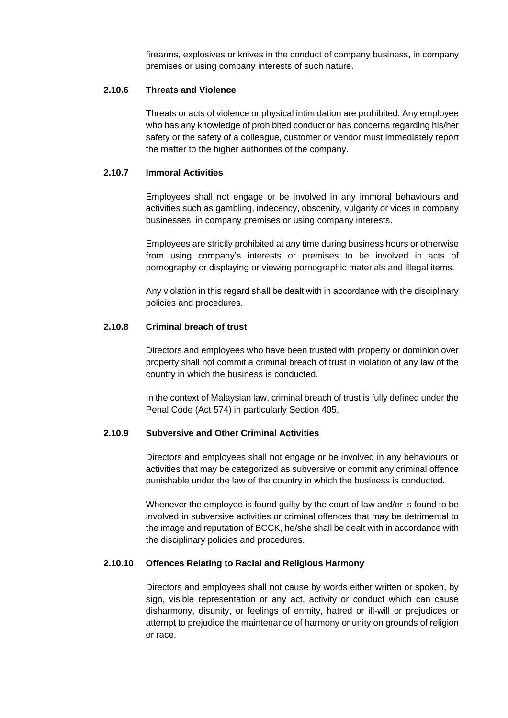firearms, explosives or knives in the conduct of company business, in company premises or using company interests of such nature.

# **2.10.6 Threats and Violence**

Threats or acts of violence or physical intimidation are prohibited. Any employee who has any knowledge of prohibited conduct or has concerns regarding his/her safety or the safety of a colleague, customer or vendor must immediately report the matter to the higher authorities of the company.

#### **2.10.7 Immoral Activities**

Employees shall not engage or be involved in any immoral behaviours and activities such as gambling, indecency, obscenity, vulgarity or vices in company businesses, in company premises or using company interests.

Employees are strictly prohibited at any time during business hours or otherwise from using company's interests or premises to be involved in acts of pornography or displaying or viewing pornographic materials and illegal items.

Any violation in this regard shall be dealt with in accordance with the disciplinary policies and procedures.

#### **2.10.8 Criminal breach of trust**

Directors and employees who have been trusted with property or dominion over property shall not commit a criminal breach of trust in violation of any law of the country in which the business is conducted.

In the context of Malaysian law, criminal breach of trust is fully defined under the Penal Code (Act 574) in particularly Section 405.

#### **2.10.9 Subversive and Other Criminal Activities**

Directors and employees shall not engage or be involved in any behaviours or activities that may be categorized as subversive or commit any criminal offence punishable under the law of the country in which the business is conducted.

Whenever the employee is found guilty by the court of law and/or is found to be involved in subversive activities or criminal offences that may be detrimental to the image and reputation of BCCK, he/she shall be dealt with in accordance with the disciplinary policies and procedures.

# **2.10.10 Offences Relating to Racial and Religious Harmony**

Directors and employees shall not cause by words either written or spoken, by sign, visible representation or any act, activity or conduct which can cause disharmony, disunity, or feelings of enmity, hatred or ill-will or prejudices or attempt to prejudice the maintenance of harmony or unity on grounds of religion or race.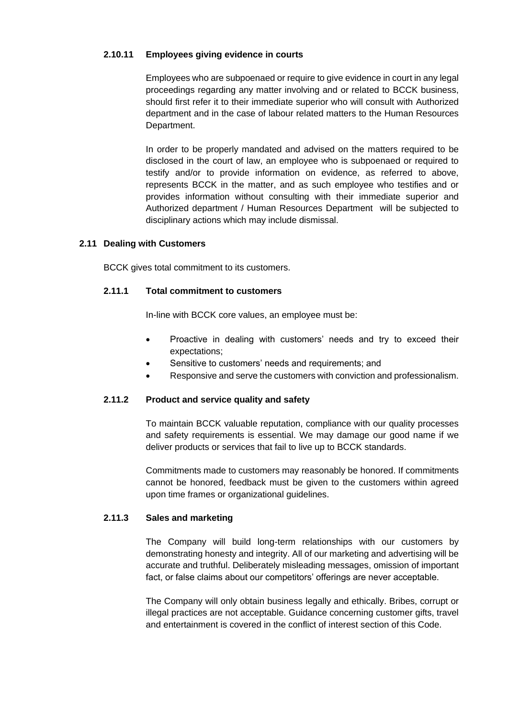# **2.10.11 Employees giving evidence in courts**

Employees who are subpoenaed or require to give evidence in court in any legal proceedings regarding any matter involving and or related to BCCK business, should first refer it to their immediate superior who will consult with Authorized department and in the case of labour related matters to the Human Resources Department.

In order to be properly mandated and advised on the matters required to be disclosed in the court of law, an employee who is subpoenaed or required to testify and/or to provide information on evidence, as referred to above, represents BCCK in the matter, and as such employee who testifies and or provides information without consulting with their immediate superior and Authorized department / Human Resources Department will be subjected to disciplinary actions which may include dismissal.

# **2.11 Dealing with Customers**

BCCK gives total commitment to its customers.

## **2.11.1 Total commitment to customers**

In-line with BCCK core values, an employee must be:

- Proactive in dealing with customers' needs and try to exceed their expectations;
- Sensitive to customers' needs and requirements; and
- Responsive and serve the customers with conviction and professionalism.

# **2.11.2 Product and service quality and safety**

To maintain BCCK valuable reputation, compliance with our quality processes and safety requirements is essential. We may damage our good name if we deliver products or services that fail to live up to BCCK standards.

Commitments made to customers may reasonably be honored. If commitments cannot be honored, feedback must be given to the customers within agreed upon time frames or organizational guidelines.

#### **2.11.3 Sales and marketing**

The Company will build long-term relationships with our customers by demonstrating honesty and integrity. All of our marketing and advertising will be accurate and truthful. Deliberately misleading messages, omission of important fact, or false claims about our competitors' offerings are never acceptable.

The Company will only obtain business legally and ethically. Bribes, corrupt or illegal practices are not acceptable. Guidance concerning customer gifts, travel and entertainment is covered in the conflict of interest section of this Code.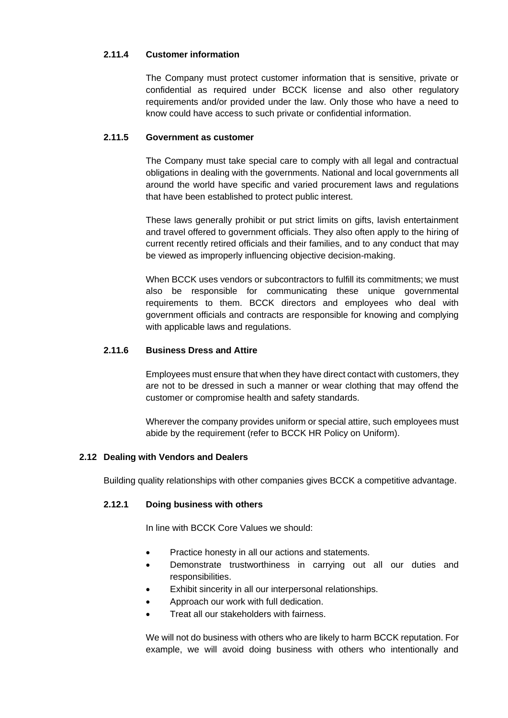# **2.11.4 Customer information**

The Company must protect customer information that is sensitive, private or confidential as required under BCCK license and also other regulatory requirements and/or provided under the law. Only those who have a need to know could have access to such private or confidential information.

# **2.11.5 Government as customer**

The Company must take special care to comply with all legal and contractual obligations in dealing with the governments. National and local governments all around the world have specific and varied procurement laws and regulations that have been established to protect public interest.

These laws generally prohibit or put strict limits on gifts, lavish entertainment and travel offered to government officials. They also often apply to the hiring of current recently retired officials and their families, and to any conduct that may be viewed as improperly influencing objective decision-making.

When BCCK uses vendors or subcontractors to fulfill its commitments; we must also be responsible for communicating these unique governmental requirements to them. BCCK directors and employees who deal with government officials and contracts are responsible for knowing and complying with applicable laws and regulations.

# **2.11.6 Business Dress and Attire**

Employees must ensure that when they have direct contact with customers, they are not to be dressed in such a manner or wear clothing that may offend the customer or compromise health and safety standards.

Wherever the company provides uniform or special attire, such employees must abide by the requirement (refer to BCCK HR Policy on Uniform).

# **2.12 Dealing with Vendors and Dealers**

Building quality relationships with other companies gives BCCK a competitive advantage.

#### **2.12.1 Doing business with others**

In line with BCCK Core Values we should:

- Practice honesty in all our actions and statements.
- Demonstrate trustworthiness in carrying out all our duties and responsibilities.
- Exhibit sincerity in all our interpersonal relationships.
- Approach our work with full dedication.
- Treat all our stakeholders with fairness.

We will not do business with others who are likely to harm BCCK reputation. For example, we will avoid doing business with others who intentionally and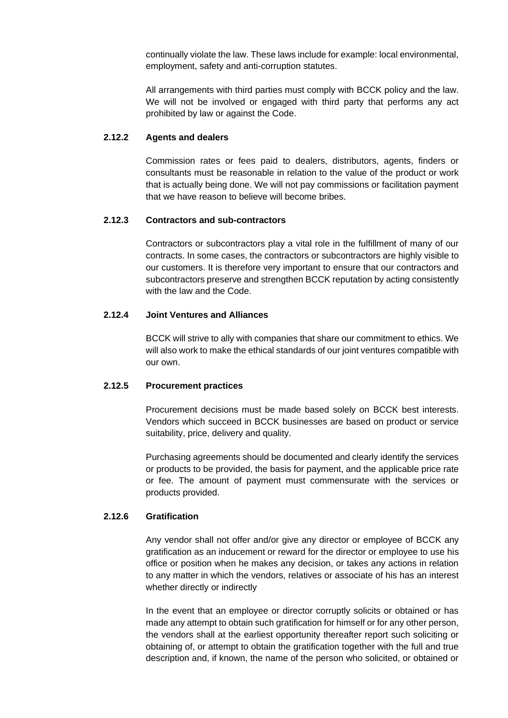continually violate the law. These laws include for example: local environmental, employment, safety and anti-corruption statutes.

All arrangements with third parties must comply with BCCK policy and the law. We will not be involved or engaged with third party that performs any act prohibited by law or against the Code.

## **2.12.2 Agents and dealers**

Commission rates or fees paid to dealers, distributors, agents, finders or consultants must be reasonable in relation to the value of the product or work that is actually being done. We will not pay commissions or facilitation payment that we have reason to believe will become bribes.

#### **2.12.3 Contractors and sub-contractors**

Contractors or subcontractors play a vital role in the fulfillment of many of our contracts. In some cases, the contractors or subcontractors are highly visible to our customers. It is therefore very important to ensure that our contractors and subcontractors preserve and strengthen BCCK reputation by acting consistently with the law and the Code.

# **2.12.4 Joint Ventures and Alliances**

BCCK will strive to ally with companies that share our commitment to ethics. We will also work to make the ethical standards of our joint ventures compatible with our own.

#### **2.12.5 Procurement practices**

Procurement decisions must be made based solely on BCCK best interests. Vendors which succeed in BCCK businesses are based on product or service suitability, price, delivery and quality.

Purchasing agreements should be documented and clearly identify the services or products to be provided, the basis for payment, and the applicable price rate or fee. The amount of payment must commensurate with the services or products provided.

#### **2.12.6 Gratification**

Any vendor shall not offer and/or give any director or employee of BCCK any gratification as an inducement or reward for the director or employee to use his office or position when he makes any decision, or takes any actions in relation to any matter in which the vendors, relatives or associate of his has an interest whether directly or indirectly

In the event that an employee or director corruptly solicits or obtained or has made any attempt to obtain such gratification for himself or for any other person, the vendors shall at the earliest opportunity thereafter report such soliciting or obtaining of, or attempt to obtain the gratification together with the full and true description and, if known, the name of the person who solicited, or obtained or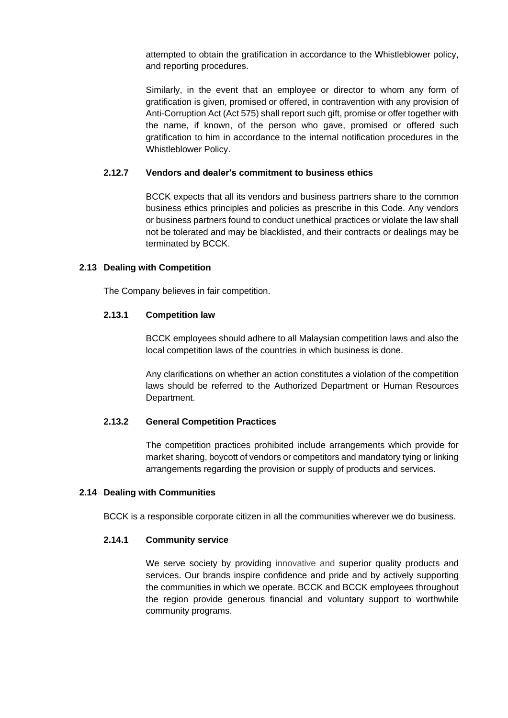attempted to obtain the gratification in accordance to the Whistleblower policy, and reporting procedures.

Similarly, in the event that an employee or director to whom any form of gratification is given, promised or offered, in contravention with any provision of Anti-Corruption Act (Act 575) shall report such gift, promise or offer together with the name, if known, of the person who gave, promised or offered such gratification to him in accordance to the internal notification procedures in the Whistleblower Policy.

# **2.12.7 Vendors and dealer's commitment to business ethics**

BCCK expects that all its vendors and business partners share to the common business ethics principles and policies as prescribe in this Code. Any vendors or business partners found to conduct unethical practices or violate the law shall not be tolerated and may be blacklisted, and their contracts or dealings may be terminated by BCCK.

# **2.13 Dealing with Competition**

The Company believes in fair competition.

# **2.13.1 Competition law**

BCCK employees should adhere to all Malaysian competition laws and also the local competition laws of the countries in which business is done.

Any clarifications on whether an action constitutes a violation of the competition laws should be referred to the Authorized Department or Human Resources Department.

# **2.13.2 General Competition Practices**

The competition practices prohibited include arrangements which provide for market sharing, boycott of vendors or competitors and mandatory tying or linking arrangements regarding the provision or supply of products and services.

# **2.14 Dealing with Communities**

BCCK is a responsible corporate citizen in all the communities wherever we do business.

# **2.14.1 Community service**

We serve society by providing innovative and superior quality products and services. Our brands inspire confidence and pride and by actively supporting the communities in which we operate. BCCK and BCCK employees throughout the region provide generous financial and voluntary support to worthwhile community programs.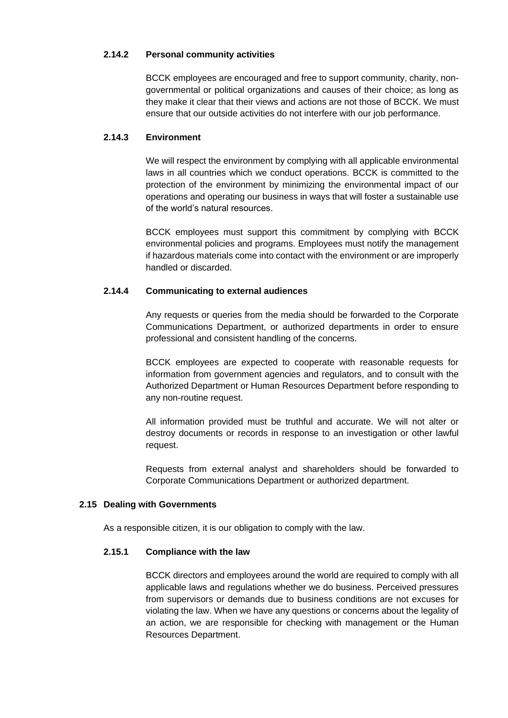# **2.14.2 Personal community activities**

BCCK employees are encouraged and free to support community, charity, nongovernmental or political organizations and causes of their choice; as long as they make it clear that their views and actions are not those of BCCK. We must ensure that our outside activities do not interfere with our job performance.

# **2.14.3 Environment**

We will respect the environment by complying with all applicable environmental laws in all countries which we conduct operations. BCCK is committed to the protection of the environment by minimizing the environmental impact of our operations and operating our business in ways that will foster a sustainable use of the world's natural resources.

BCCK employees must support this commitment by complying with BCCK environmental policies and programs. Employees must notify the management if hazardous materials come into contact with the environment or are improperly handled or discarded.

# **2.14.4 Communicating to external audiences**

Any requests or queries from the media should be forwarded to the Corporate Communications Department, or authorized departments in order to ensure professional and consistent handling of the concerns.

BCCK employees are expected to cooperate with reasonable requests for information from government agencies and regulators, and to consult with the Authorized Department or Human Resources Department before responding to any non-routine request.

All information provided must be truthful and accurate. We will not alter or destroy documents or records in response to an investigation or other lawful request.

Requests from external analyst and shareholders should be forwarded to Corporate Communications Department or authorized department.

# **2.15 Dealing with Governments**

As a responsible citizen, it is our obligation to comply with the law.

# **2.15.1 Compliance with the law**

BCCK directors and employees around the world are required to comply with all applicable laws and regulations whether we do business. Perceived pressures from supervisors or demands due to business conditions are not excuses for violating the law. When we have any questions or concerns about the legality of an action, we are responsible for checking with management or the Human Resources Department.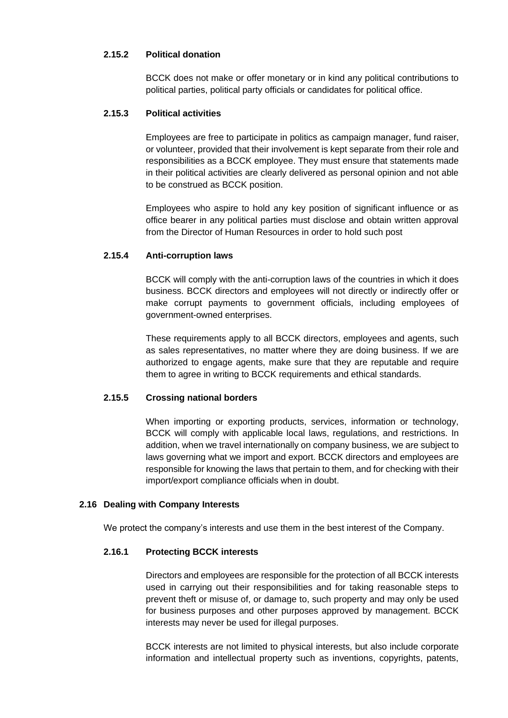# **2.15.2 Political donation**

BCCK does not make or offer monetary or in kind any political contributions to political parties, political party officials or candidates for political office.

#### **2.15.3 Political activities**

Employees are free to participate in politics as campaign manager, fund raiser, or volunteer, provided that their involvement is kept separate from their role and responsibilities as a BCCK employee. They must ensure that statements made in their political activities are clearly delivered as personal opinion and not able to be construed as BCCK position.

Employees who aspire to hold any key position of significant influence or as office bearer in any political parties must disclose and obtain written approval from the Director of Human Resources in order to hold such post

#### **2.15.4 Anti-corruption laws**

BCCK will comply with the anti-corruption laws of the countries in which it does business. BCCK directors and employees will not directly or indirectly offer or make corrupt payments to government officials, including employees of government-owned enterprises.

These requirements apply to all BCCK directors, employees and agents, such as sales representatives, no matter where they are doing business. If we are authorized to engage agents, make sure that they are reputable and require them to agree in writing to BCCK requirements and ethical standards.

# **2.15.5 Crossing national borders**

When importing or exporting products, services, information or technology, BCCK will comply with applicable local laws, regulations, and restrictions. In addition, when we travel internationally on company business, we are subject to laws governing what we import and export. BCCK directors and employees are responsible for knowing the laws that pertain to them, and for checking with their import/export compliance officials when in doubt.

#### **2.16 Dealing with Company Interests**

We protect the company's interests and use them in the best interest of the Company.

#### **2.16.1 Protecting BCCK interests**

Directors and employees are responsible for the protection of all BCCK interests used in carrying out their responsibilities and for taking reasonable steps to prevent theft or misuse of, or damage to, such property and may only be used for business purposes and other purposes approved by management. BCCK interests may never be used for illegal purposes.

BCCK interests are not limited to physical interests, but also include corporate information and intellectual property such as inventions, copyrights, patents,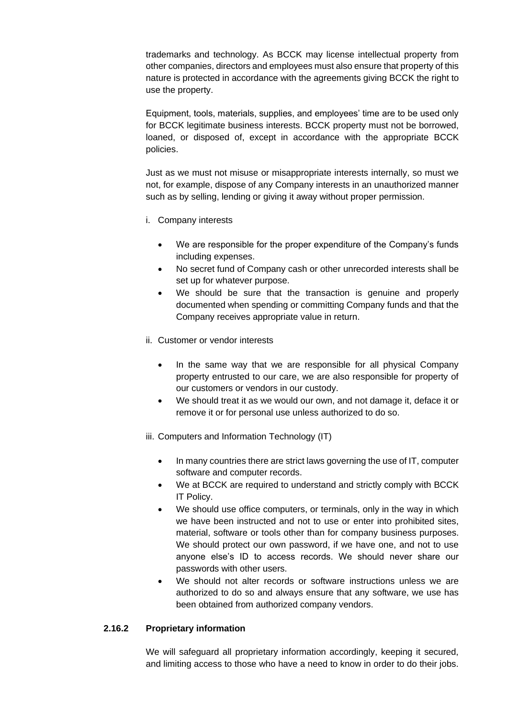trademarks and technology. As BCCK may license intellectual property from other companies, directors and employees must also ensure that property of this nature is protected in accordance with the agreements giving BCCK the right to use the property.

Equipment, tools, materials, supplies, and employees' time are to be used only for BCCK legitimate business interests. BCCK property must not be borrowed, loaned, or disposed of, except in accordance with the appropriate BCCK policies.

Just as we must not misuse or misappropriate interests internally, so must we not, for example, dispose of any Company interests in an unauthorized manner such as by selling, lending or giving it away without proper permission.

- i. Company interests
	- We are responsible for the proper expenditure of the Company's funds including expenses.
	- No secret fund of Company cash or other unrecorded interests shall be set up for whatever purpose.
	- We should be sure that the transaction is genuine and properly documented when spending or committing Company funds and that the Company receives appropriate value in return.
- ii. Customer or vendor interests
	- In the same way that we are responsible for all physical Company property entrusted to our care, we are also responsible for property of our customers or vendors in our custody.
	- We should treat it as we would our own, and not damage it, deface it or remove it or for personal use unless authorized to do so.
- iii. Computers and Information Technology (IT)
	- In many countries there are strict laws governing the use of IT, computer software and computer records.
	- We at BCCK are required to understand and strictly comply with BCCK IT Policy.
	- We should use office computers, or terminals, only in the way in which we have been instructed and not to use or enter into prohibited sites, material, software or tools other than for company business purposes. We should protect our own password, if we have one, and not to use anyone else's ID to access records. We should never share our passwords with other users.
	- We should not alter records or software instructions unless we are authorized to do so and always ensure that any software, we use has been obtained from authorized company vendors.

#### **2.16.2 Proprietary information**

We will safeguard all proprietary information accordingly, keeping it secured, and limiting access to those who have a need to know in order to do their jobs.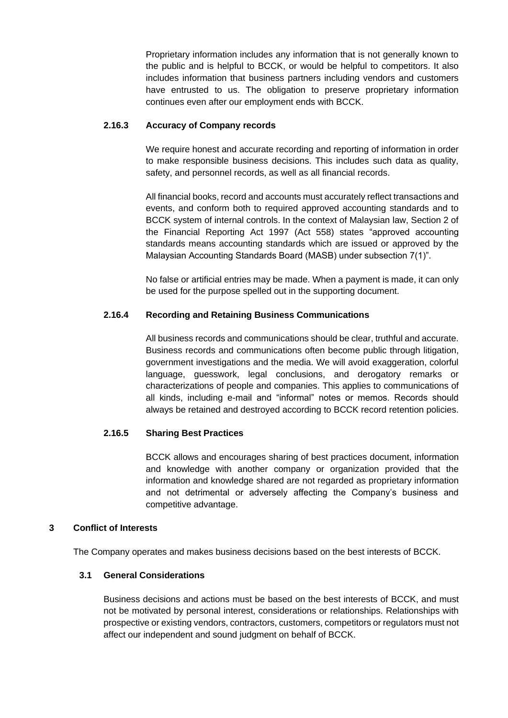Proprietary information includes any information that is not generally known to the public and is helpful to BCCK, or would be helpful to competitors. It also includes information that business partners including vendors and customers have entrusted to us. The obligation to preserve proprietary information continues even after our employment ends with BCCK.

#### **2.16.3 Accuracy of Company records**

We require honest and accurate recording and reporting of information in order to make responsible business decisions. This includes such data as quality, safety, and personnel records, as well as all financial records.

All financial books, record and accounts must accurately reflect transactions and events, and conform both to required approved accounting standards and to BCCK system of internal controls. In the context of Malaysian law, Section 2 of the Financial Reporting Act 1997 (Act 558) states "approved accounting standards means accounting standards which are issued or approved by the Malaysian Accounting Standards Board (MASB) under subsection 7(1)".

No false or artificial entries may be made. When a payment is made, it can only be used for the purpose spelled out in the supporting document.

# **2.16.4 Recording and Retaining Business Communications**

All business records and communications should be clear, truthful and accurate. Business records and communications often become public through litigation, government investigations and the media. We will avoid exaggeration, colorful language, guesswork, legal conclusions, and derogatory remarks or characterizations of people and companies. This applies to communications of all kinds, including e-mail and "informal" notes or memos. Records should always be retained and destroyed according to BCCK record retention policies.

# **2.16.5 Sharing Best Practices**

BCCK allows and encourages sharing of best practices document, information and knowledge with another company or organization provided that the information and knowledge shared are not regarded as proprietary information and not detrimental or adversely affecting the Company's business and competitive advantage.

# **3 Conflict of Interests**

The Company operates and makes business decisions based on the best interests of BCCK.

# **3.1 General Considerations**

Business decisions and actions must be based on the best interests of BCCK, and must not be motivated by personal interest, considerations or relationships. Relationships with prospective or existing vendors, contractors, customers, competitors or regulators must not affect our independent and sound judgment on behalf of BCCK.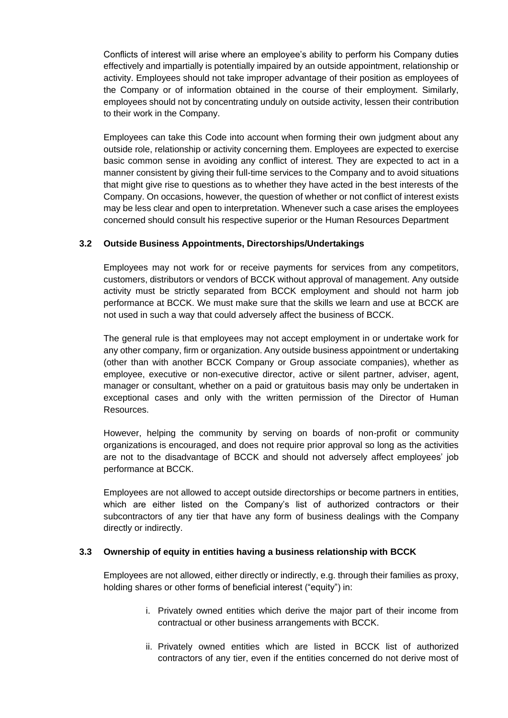Conflicts of interest will arise where an employee's ability to perform his Company duties effectively and impartially is potentially impaired by an outside appointment, relationship or activity. Employees should not take improper advantage of their position as employees of the Company or of information obtained in the course of their employment. Similarly, employees should not by concentrating unduly on outside activity, lessen their contribution to their work in the Company.

Employees can take this Code into account when forming their own judgment about any outside role, relationship or activity concerning them. Employees are expected to exercise basic common sense in avoiding any conflict of interest. They are expected to act in a manner consistent by giving their full-time services to the Company and to avoid situations that might give rise to questions as to whether they have acted in the best interests of the Company. On occasions, however, the question of whether or not conflict of interest exists may be less clear and open to interpretation. Whenever such a case arises the employees concerned should consult his respective superior or the Human Resources Department

# **3.2 Outside Business Appointments, Directorships/Undertakings**

Employees may not work for or receive payments for services from any competitors, customers, distributors or vendors of BCCK without approval of management. Any outside activity must be strictly separated from BCCK employment and should not harm job performance at BCCK. We must make sure that the skills we learn and use at BCCK are not used in such a way that could adversely affect the business of BCCK.

The general rule is that employees may not accept employment in or undertake work for any other company, firm or organization. Any outside business appointment or undertaking (other than with another BCCK Company or Group associate companies), whether as employee, executive or non-executive director, active or silent partner, adviser, agent, manager or consultant, whether on a paid or gratuitous basis may only be undertaken in exceptional cases and only with the written permission of the Director of Human Resources.

However, helping the community by serving on boards of non-profit or community organizations is encouraged, and does not require prior approval so long as the activities are not to the disadvantage of BCCK and should not adversely affect employees' job performance at BCCK.

Employees are not allowed to accept outside directorships or become partners in entities, which are either listed on the Company's list of authorized contractors or their subcontractors of any tier that have any form of business dealings with the Company directly or indirectly.

#### **3.3 Ownership of equity in entities having a business relationship with BCCK**

Employees are not allowed, either directly or indirectly, e.g. through their families as proxy, holding shares or other forms of beneficial interest ("equity") in:

- i. Privately owned entities which derive the major part of their income from contractual or other business arrangements with BCCK.
- ii. Privately owned entities which are listed in BCCK list of authorized contractors of any tier, even if the entities concerned do not derive most of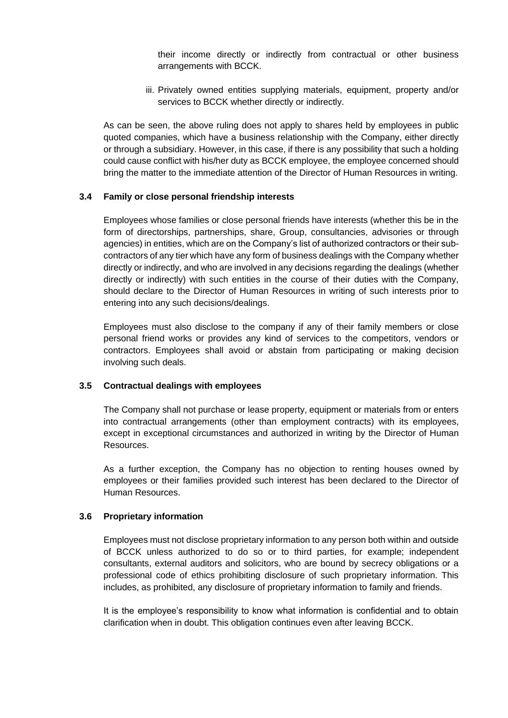their income directly or indirectly from contractual or other business arrangements with BCCK.

iii. Privately owned entities supplying materials, equipment, property and/or services to BCCK whether directly or indirectly.

As can be seen, the above ruling does not apply to shares held by employees in public quoted companies, which have a business relationship with the Company, either directly or through a subsidiary. However, in this case, if there is any possibility that such a holding could cause conflict with his/her duty as BCCK employee, the employee concerned should bring the matter to the immediate attention of the Director of Human Resources in writing.

#### **3.4 Family or close personal friendship interests**

Employees whose families or close personal friends have interests (whether this be in the form of directorships, partnerships, share, Group, consultancies, advisories or through agencies) in entities, which are on the Company's list of authorized contractors or their subcontractors of any tier which have any form of business dealings with the Company whether directly or indirectly, and who are involved in any decisions regarding the dealings (whether directly or indirectly) with such entities in the course of their duties with the Company, should declare to the Director of Human Resources in writing of such interests prior to entering into any such decisions/dealings.

Employees must also disclose to the company if any of their family members or close personal friend works or provides any kind of services to the competitors, vendors or contractors. Employees shall avoid or abstain from participating or making decision involving such deals.

#### **3.5 Contractual dealings with employees**

The Company shall not purchase or lease property, equipment or materials from or enters into contractual arrangements (other than employment contracts) with its employees, except in exceptional circumstances and authorized in writing by the Director of Human Resources.

As a further exception, the Company has no objection to renting houses owned by employees or their families provided such interest has been declared to the Director of Human Resources.

#### **3.6 Proprietary information**

Employees must not disclose proprietary information to any person both within and outside of BCCK unless authorized to do so or to third parties, for example; independent consultants, external auditors and solicitors, who are bound by secrecy obligations or a professional code of ethics prohibiting disclosure of such proprietary information. This includes, as prohibited, any disclosure of proprietary information to family and friends.

It is the employee's responsibility to know what information is confidential and to obtain clarification when in doubt. This obligation continues even after leaving BCCK.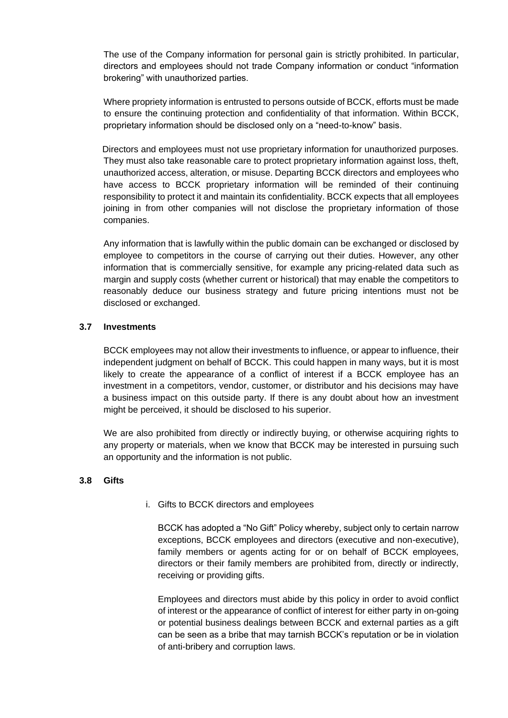The use of the Company information for personal gain is strictly prohibited. In particular, directors and employees should not trade Company information or conduct "information brokering" with unauthorized parties.

Where propriety information is entrusted to persons outside of BCCK, efforts must be made to ensure the continuing protection and confidentiality of that information. Within BCCK, proprietary information should be disclosed only on a "need-to-know" basis.

 Directors and employees must not use proprietary information for unauthorized purposes. They must also take reasonable care to protect proprietary information against loss, theft, unauthorized access, alteration, or misuse. Departing BCCK directors and employees who have access to BCCK proprietary information will be reminded of their continuing responsibility to protect it and maintain its confidentiality. BCCK expects that all employees joining in from other companies will not disclose the proprietary information of those companies.

Any information that is lawfully within the public domain can be exchanged or disclosed by employee to competitors in the course of carrying out their duties. However, any other information that is commercially sensitive, for example any pricing-related data such as margin and supply costs (whether current or historical) that may enable the competitors to reasonably deduce our business strategy and future pricing intentions must not be disclosed or exchanged.

#### **3.7 Investments**

BCCK employees may not allow their investments to influence, or appear to influence, their independent judgment on behalf of BCCK. This could happen in many ways, but it is most likely to create the appearance of a conflict of interest if a BCCK employee has an investment in a competitors, vendor, customer, or distributor and his decisions may have a business impact on this outside party. If there is any doubt about how an investment might be perceived, it should be disclosed to his superior.

We are also prohibited from directly or indirectly buying, or otherwise acquiring rights to any property or materials, when we know that BCCK may be interested in pursuing such an opportunity and the information is not public.

#### **3.8 Gifts**

i. Gifts to BCCK directors and employees

BCCK has adopted a "No Gift" Policy whereby, subject only to certain narrow exceptions, BCCK employees and directors (executive and non-executive), family members or agents acting for or on behalf of BCCK employees, directors or their family members are prohibited from, directly or indirectly, receiving or providing gifts.

Employees and directors must abide by this policy in order to avoid conflict of interest or the appearance of conflict of interest for either party in on-going or potential business dealings between BCCK and external parties as a gift can be seen as a bribe that may tarnish BCCK's reputation or be in violation of anti-bribery and corruption laws.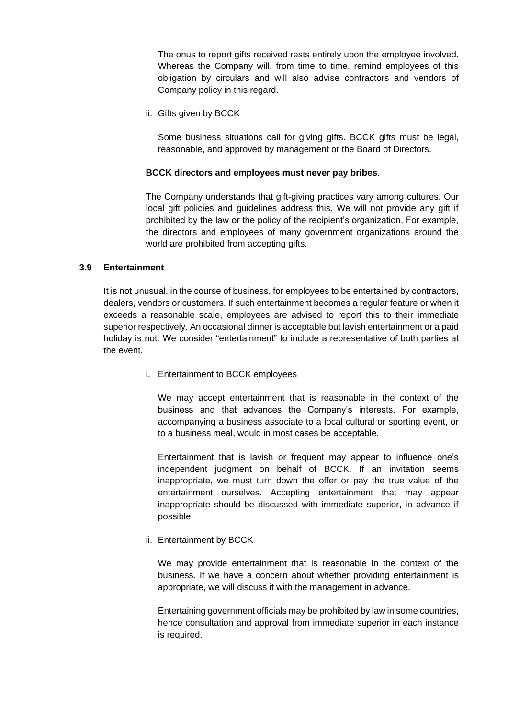The onus to report gifts received rests entirely upon the employee involved. Whereas the Company will, from time to time, remind employees of this obligation by circulars and will also advise contractors and vendors of Company policy in this regard.

ii. Gifts given by BCCK

Some business situations call for giving gifts. BCCK gifts must be legal, reasonable, and approved by management or the Board of Directors.

#### **BCCK directors and employees must never pay bribes**.

The Company understands that gift-giving practices vary among cultures. Our local gift policies and guidelines address this. We will not provide any gift if prohibited by the law or the policy of the recipient's organization. For example, the directors and employees of many government organizations around the world are prohibited from accepting gifts.

#### **3.9 Entertainment**

It is not unusual, in the course of business, for employees to be entertained by contractors, dealers, vendors or customers. If such entertainment becomes a regular feature or when it exceeds a reasonable scale, employees are advised to report this to their immediate superior respectively. An occasional dinner is acceptable but lavish entertainment or a paid holiday is not. We consider "entertainment" to include a representative of both parties at the event.

i. Entertainment to BCCK employees

We may accept entertainment that is reasonable in the context of the business and that advances the Company's interests. For example, accompanying a business associate to a local cultural or sporting event, or to a business meal, would in most cases be acceptable.

Entertainment that is lavish or frequent may appear to influence one's independent judgment on behalf of BCCK. If an invitation seems inappropriate, we must turn down the offer or pay the true value of the entertainment ourselves. Accepting entertainment that may appear inappropriate should be discussed with immediate superior, in advance if possible.

ii. Entertainment by BCCK

We may provide entertainment that is reasonable in the context of the business. If we have a concern about whether providing entertainment is appropriate, we will discuss it with the management in advance.

Entertaining government officials may be prohibited by law in some countries, hence consultation and approval from immediate superior in each instance is required.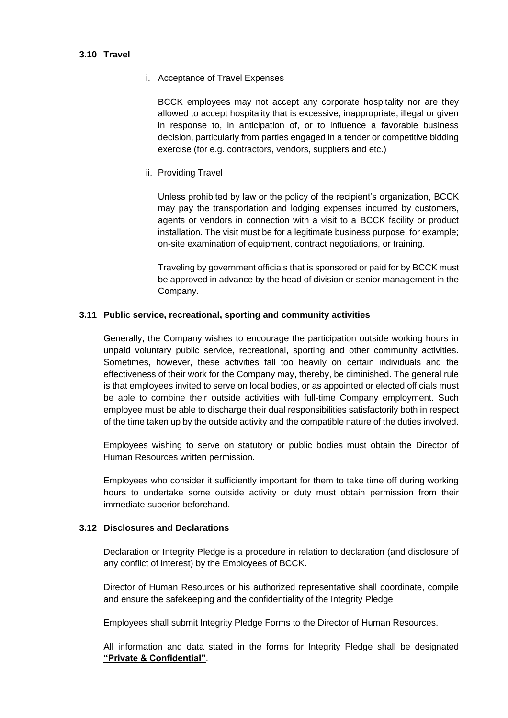#### **3.10 Travel**

#### i. Acceptance of Travel Expenses

BCCK employees may not accept any corporate hospitality nor are they allowed to accept hospitality that is excessive, inappropriate, illegal or given in response to, in anticipation of, or to influence a favorable business decision, particularly from parties engaged in a tender or competitive bidding exercise (for e.g. contractors, vendors, suppliers and etc.)

## ii. Providing Travel

Unless prohibited by law or the policy of the recipient's organization, BCCK may pay the transportation and lodging expenses incurred by customers, agents or vendors in connection with a visit to a BCCK facility or product installation. The visit must be for a legitimate business purpose, for example; on-site examination of equipment, contract negotiations, or training.

Traveling by government officials that is sponsored or paid for by BCCK must be approved in advance by the head of division or senior management in the Company.

#### **3.11 Public service, recreational, sporting and community activities**

Generally, the Company wishes to encourage the participation outside working hours in unpaid voluntary public service, recreational, sporting and other community activities. Sometimes, however, these activities fall too heavily on certain individuals and the effectiveness of their work for the Company may, thereby, be diminished. The general rule is that employees invited to serve on local bodies, or as appointed or elected officials must be able to combine their outside activities with full-time Company employment. Such employee must be able to discharge their dual responsibilities satisfactorily both in respect of the time taken up by the outside activity and the compatible nature of the duties involved.

Employees wishing to serve on statutory or public bodies must obtain the Director of Human Resources written permission.

Employees who consider it sufficiently important for them to take time off during working hours to undertake some outside activity or duty must obtain permission from their immediate superior beforehand.

#### **3.12 Disclosures and Declarations**

Declaration or Integrity Pledge is a procedure in relation to declaration (and disclosure of any conflict of interest) by the Employees of BCCK.

Director of Human Resources or his authorized representative shall coordinate, compile and ensure the safekeeping and the confidentiality of the Integrity Pledge

Employees shall submit Integrity Pledge Forms to the Director of Human Resources.

All information and data stated in the forms for Integrity Pledge shall be designated **"Private & Confidential"**.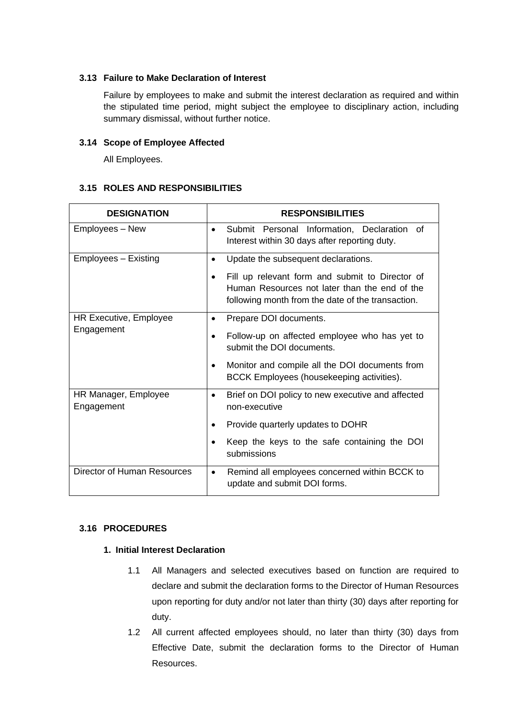# **3.13 Failure to Make Declaration of Interest**

Failure by employees to make and submit the interest declaration as required and within the stipulated time period, might subject the employee to disciplinary action, including summary dismissal, without further notice.

# **3.14 Scope of Employee Affected**

All Employees.

# **3.15 ROLES AND RESPONSIBILITIES**

| <b>DESIGNATION</b>                   | <b>RESPONSIBILITIES</b>                                                                                                                                                                                                       |
|--------------------------------------|-------------------------------------------------------------------------------------------------------------------------------------------------------------------------------------------------------------------------------|
| Employees - New                      | Submit Personal Information, Declaration of<br>$\bullet$<br>Interest within 30 days after reporting duty.                                                                                                                     |
| Employees - Existing                 | Update the subsequent declarations.<br>$\bullet$<br>Fill up relevant form and submit to Director of<br>Human Resources not later than the end of the<br>following month from the date of the transaction.                     |
| HR Executive, Employee<br>Engagement | Prepare DOI documents.<br>$\bullet$<br>Follow-up on affected employee who has yet to<br>submit the DOI documents.<br>Monitor and compile all the DOI documents from<br>$\bullet$<br>BCCK Employees (housekeeping activities). |
| HR Manager, Employee<br>Engagement   | Brief on DOI policy to new executive and affected<br>non-executive<br>Provide quarterly updates to DOHR<br>٠<br>Keep the keys to the safe containing the DOI<br>submissions                                                   |
| <b>Director of Human Resources</b>   | Remind all employees concerned within BCCK to<br>٠<br>update and submit DOI forms.                                                                                                                                            |

# **3.16 PROCEDURES**

# **1. Initial Interest Declaration**

- 1.1 All Managers and selected executives based on function are required to declare and submit the declaration forms to the Director of Human Resources upon reporting for duty and/or not later than thirty (30) days after reporting for duty.
- 1.2 All current affected employees should, no later than thirty (30) days from Effective Date, submit the declaration forms to the Director of Human Resources.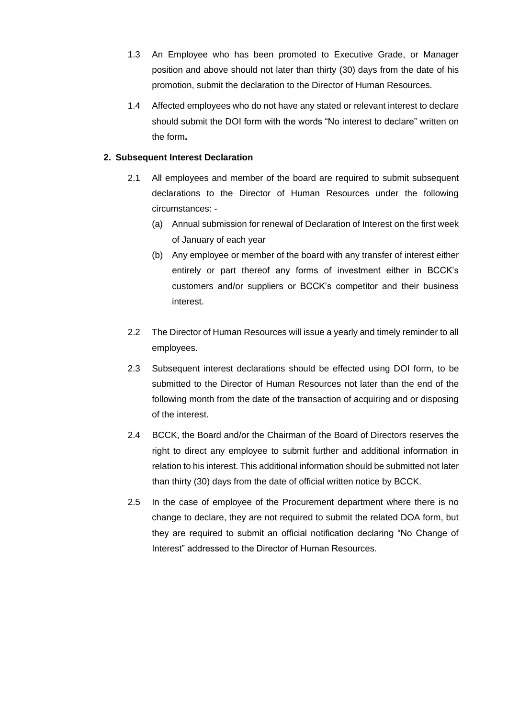- 1.3 An Employee who has been promoted to Executive Grade, or Manager position and above should not later than thirty (30) days from the date of his promotion, submit the declaration to the Director of Human Resources.
- 1.4 Affected employees who do not have any stated or relevant interest to declare should submit the DOI form with the words "No interest to declare" written on the form**.**

# **2. Subsequent Interest Declaration**

- 2.1 All employees and member of the board are required to submit subsequent declarations to the Director of Human Resources under the following circumstances: -
	- (a) Annual submission for renewal of Declaration of Interest on the first week of January of each year
	- (b) Any employee or member of the board with any transfer of interest either entirely or part thereof any forms of investment either in BCCK's customers and/or suppliers or BCCK's competitor and their business interest.
- 2.2 The Director of Human Resources will issue a yearly and timely reminder to all employees.
- 2.3 Subsequent interest declarations should be effected using DOI form, to be submitted to the Director of Human Resources not later than the end of the following month from the date of the transaction of acquiring and or disposing of the interest.
- 2.4 BCCK, the Board and/or the Chairman of the Board of Directors reserves the right to direct any employee to submit further and additional information in relation to his interest. This additional information should be submitted not later than thirty (30) days from the date of official written notice by BCCK.
- 2.5 In the case of employee of the Procurement department where there is no change to declare, they are not required to submit the related DOA form, but they are required to submit an official notification declaring "No Change of Interest" addressed to the Director of Human Resources.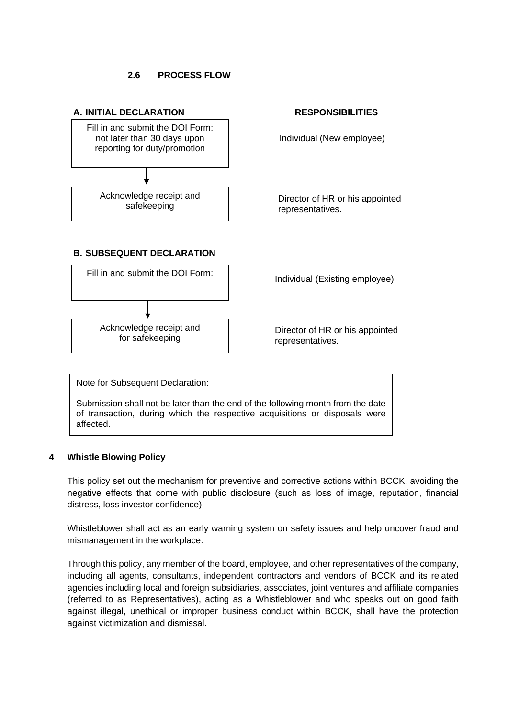#### **2.6 PROCESS FLOW**



Note for Subsequent Declaration:

Submission shall not be later than the end of the following month from the date of transaction, during which the respective acquisitions or disposals were affected.

#### **4 Whistle Blowing Policy**

This policy set out the mechanism for preventive and corrective actions within BCCK, avoiding the negative effects that come with public disclosure (such as loss of image, reputation, financial distress, loss investor confidence)

Whistleblower shall act as an early warning system on safety issues and help uncover fraud and mismanagement in the workplace.

Through this policy, any member of the board, employee, and other representatives of the company, including all agents, consultants, independent contractors and vendors of BCCK and its related agencies including local and foreign subsidiaries, associates, joint ventures and affiliate companies (referred to as Representatives), acting as a Whistleblower and who speaks out on good faith against illegal, unethical or improper business conduct within BCCK, shall have the protection against victimization and dismissal.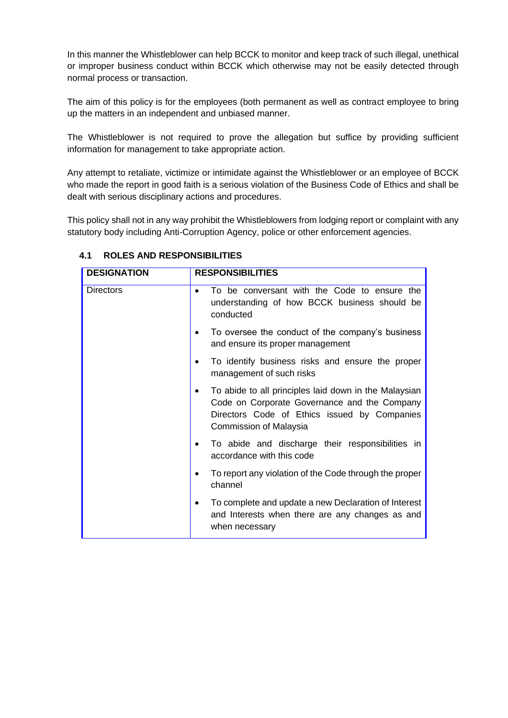In this manner the Whistleblower can help BCCK to monitor and keep track of such illegal, unethical or improper business conduct within BCCK which otherwise may not be easily detected through normal process or transaction.

The aim of this policy is for the employees (both permanent as well as contract employee to bring up the matters in an independent and unbiased manner.

The Whistleblower is not required to prove the allegation but suffice by providing sufficient information for management to take appropriate action.

Any attempt to retaliate, victimize or intimidate against the Whistleblower or an employee of BCCK who made the report in good faith is a serious violation of the Business Code of Ethics and shall be dealt with serious disciplinary actions and procedures.

This policy shall not in any way prohibit the Whistleblowers from lodging report or complaint with any statutory body including Anti-Corruption Agency, police or other enforcement agencies.

| <b>DESIGNATION</b> | <b>RESPONSIBILITIES</b>                                                                                                                                                              |
|--------------------|--------------------------------------------------------------------------------------------------------------------------------------------------------------------------------------|
| <b>Directors</b>   | To be conversant with the Code to ensure the<br>$\bullet$<br>understanding of how BCCK business should be<br>conducted                                                               |
|                    | To oversee the conduct of the company's business<br>and ensure its proper management                                                                                                 |
|                    | To identify business risks and ensure the proper<br>management of such risks                                                                                                         |
|                    | To abide to all principles laid down in the Malaysian<br>٠<br>Code on Corporate Governance and the Company<br>Directors Code of Ethics issued by Companies<br>Commission of Malaysia |
|                    | To abide and discharge their responsibilities in<br>accordance with this code                                                                                                        |
|                    | To report any violation of the Code through the proper<br>channel                                                                                                                    |
|                    | To complete and update a new Declaration of Interest<br>and Interests when there are any changes as and<br>when necessary                                                            |

# **4.1 ROLES AND RESPONSIBILITIES**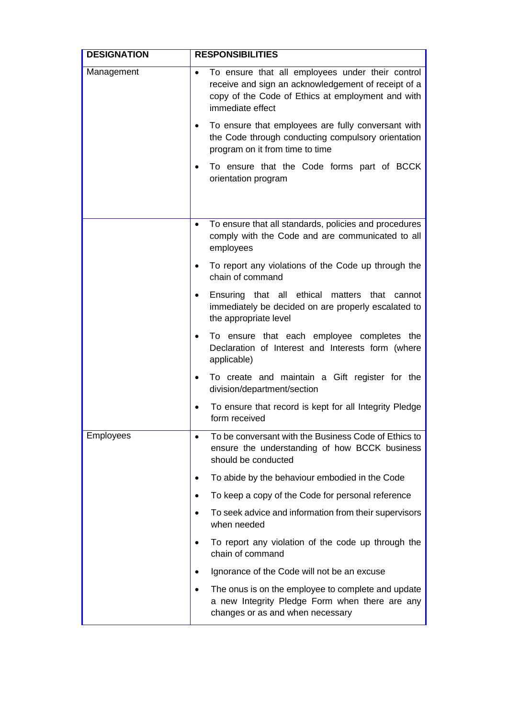| <b>DESIGNATION</b> | <b>RESPONSIBILITIES</b>                                                                                                                                                                       |
|--------------------|-----------------------------------------------------------------------------------------------------------------------------------------------------------------------------------------------|
| Management         | To ensure that all employees under their control<br>$\bullet$<br>receive and sign an acknowledgement of receipt of a<br>copy of the Code of Ethics at employment and with<br>immediate effect |
|                    | To ensure that employees are fully conversant with<br>٠<br>the Code through conducting compulsory orientation<br>program on it from time to time                                              |
|                    | To ensure that the Code forms part of BCCK<br>$\bullet$<br>orientation program                                                                                                                |
|                    | To ensure that all standards, policies and procedures<br>$\bullet$<br>comply with the Code and are communicated to all<br>employees                                                           |
|                    | To report any violations of the Code up through the<br>$\bullet$<br>chain of command                                                                                                          |
|                    | Ensuring that all ethical matters<br>that<br>cannot<br>٠<br>immediately be decided on are properly escalated to<br>the appropriate level                                                      |
|                    | To ensure that each employee completes the<br>$\bullet$<br>Declaration of Interest and Interests form (where<br>applicable)                                                                   |
|                    | To create and maintain a Gift register for the<br>$\bullet$<br>division/department/section                                                                                                    |
|                    | To ensure that record is kept for all Integrity Pledge<br>٠<br>form received                                                                                                                  |
| Employees          | To be conversant with the Business Code of Ethics to<br>ensure the understanding of how BCCK business<br>should be conducted                                                                  |
|                    | To abide by the behaviour embodied in the Code<br>٠                                                                                                                                           |
|                    | To keep a copy of the Code for personal reference                                                                                                                                             |
|                    | To seek advice and information from their supervisors<br>when needed                                                                                                                          |
|                    | To report any violation of the code up through the<br>٠<br>chain of command                                                                                                                   |
|                    | Ignorance of the Code will not be an excuse                                                                                                                                                   |
|                    | The onus is on the employee to complete and update<br>a new Integrity Pledge Form when there are any<br>changes or as and when necessary                                                      |